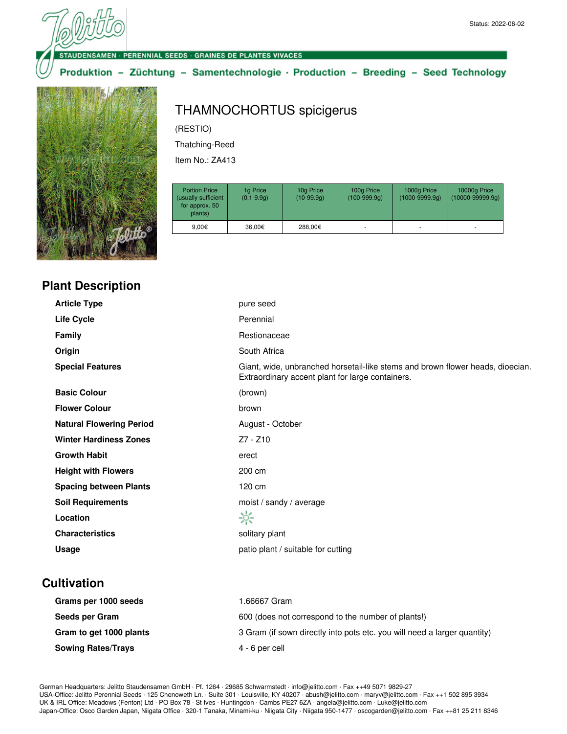#### **VSAMEN · PERENNIAL SEEDS · GRAINES DE PLANTES VIVACES**

Produktion - Züchtung - Samentechnologie · Production - Breeding - Seed Technology



# THAMNOCHORTUS spicigerus

(RESTIO)

Thatching-Reed

Item No.: ZA413

| <b>Portion Price</b><br>(usually sufficient<br>for approx. 50<br>plants) | 1g Price<br>$(0.1 - 9.9q)$ | 10g Price<br>$(10-99.9q)$ | 100g Price<br>$(100-999.9q)$ | 1000g Price<br>$(1000 - 9999.9q)$ | 10000g Price<br>$(10000 - 99999.9q)$ |
|--------------------------------------------------------------------------|----------------------------|---------------------------|------------------------------|-----------------------------------|--------------------------------------|
| 9.00€                                                                    | 36.00€                     | 288.00€                   |                              |                                   |                                      |

|  | <b>Plant Description</b> |  |
|--|--------------------------|--|
|--|--------------------------|--|

| <b>Article Type</b>             | pure seed                                                                                                                          |
|---------------------------------|------------------------------------------------------------------------------------------------------------------------------------|
| Life Cycle                      | Perennial                                                                                                                          |
| <b>Family</b>                   | Restionaceae                                                                                                                       |
| Origin                          | South Africa                                                                                                                       |
| <b>Special Features</b>         | Giant, wide, unbranched horsetail-like stems and brown flower heads, dioecian.<br>Extraordinary accent plant for large containers. |
| <b>Basic Colour</b>             | (brown)                                                                                                                            |
| <b>Flower Colour</b>            | brown                                                                                                                              |
| <b>Natural Flowering Period</b> | August - October                                                                                                                   |
| <b>Winter Hardiness Zones</b>   | $Z7 - Z10$                                                                                                                         |
| <b>Growth Habit</b>             | erect                                                                                                                              |
| <b>Height with Flowers</b>      | 200 cm                                                                                                                             |
| <b>Spacing between Plants</b>   | 120 cm                                                                                                                             |
| <b>Soil Requirements</b>        | moist / sandy / average                                                                                                            |
| Location                        | ☆                                                                                                                                  |
| <b>Characteristics</b>          | solitary plant                                                                                                                     |
| Usage                           | patio plant / suitable for cutting                                                                                                 |
|                                 |                                                                                                                                    |

# **Cultivation**

| Grams per 1000 seeds      | 1.66667 Gram                                                             |
|---------------------------|--------------------------------------------------------------------------|
| Seeds per Gram            | 600 (does not correspond to the number of plants!)                       |
| Gram to get 1000 plants   | 3 Gram (if sown directly into pots etc. you will need a larger quantity) |
| <b>Sowing Rates/Trays</b> | 4 - 6 per cell                                                           |